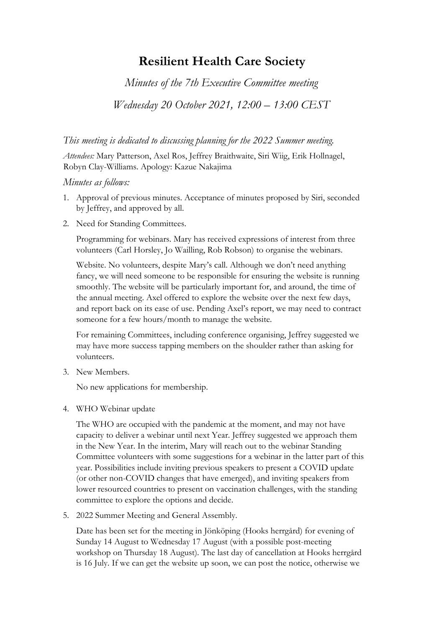## **Resilient Health Care Society**

*Minutes of the 7th Executive Committee meeting* 

*Wednesday 20 October 2021, 12:00 – 13:00 CEST*

*This meeting is dedicated to discussing planning for the 2022 Summer meeting.* 

*Attendees:* Mary Patterson, Axel Ros, Jeffrey Braithwaite, Siri Wiig, Erik Hollnagel, Robyn Clay-Williams. Apology: Kazue Nakajima

## *Minutes as follows:*

- 1. Approval of previous minutes. Acceptance of minutes proposed by Siri, seconded by Jeffrey, and approved by all.
- 2. Need for Standing Committees.

Programming for webinars. Mary has received expressions of interest from three volunteers (Carl Horsley, Jo Wailling, Rob Robson) to organise the webinars.

 Website. No volunteers, despite Mary's call. Although we don't need anything fancy, we will need someone to be responsible for ensuring the website is running smoothly. The website will be particularly important for, and around, the time of the annual meeting. Axel offered to explore the website over the next few days, and report back on its ease of use. Pending Axel's report, we may need to contract someone for a few hours/month to manage the website.

For remaining Committees, including conference organising, Jeffrey suggested we may have more success tapping members on the shoulder rather than asking for volunteers.

3. New Members.

No new applications for membership.

4. WHO Webinar update

The WHO are occupied with the pandemic at the moment, and may not have capacity to deliver a webinar until next Year. Jeffrey suggested we approach them in the New Year. In the interim, Mary will reach out to the webinar Standing Committee volunteers with some suggestions for a webinar in the latter part of this year. Possibilities include inviting previous speakers to present a COVID update (or other non-COVID changes that have emerged), and inviting speakers from lower resourced countries to present on vaccination challenges, with the standing committee to explore the options and decide.

5. 2022 Summer Meeting and General Assembly.

Date has been set for the meeting in Jönköping (Hooks herrgård) for evening of Sunday 14 August to Wednesday 17 August (with a possible post-meeting workshop on Thursday 18 August). The last day of cancellation at Hooks herrgård is 16 July. If we can get the website up soon, we can post the notice, otherwise we